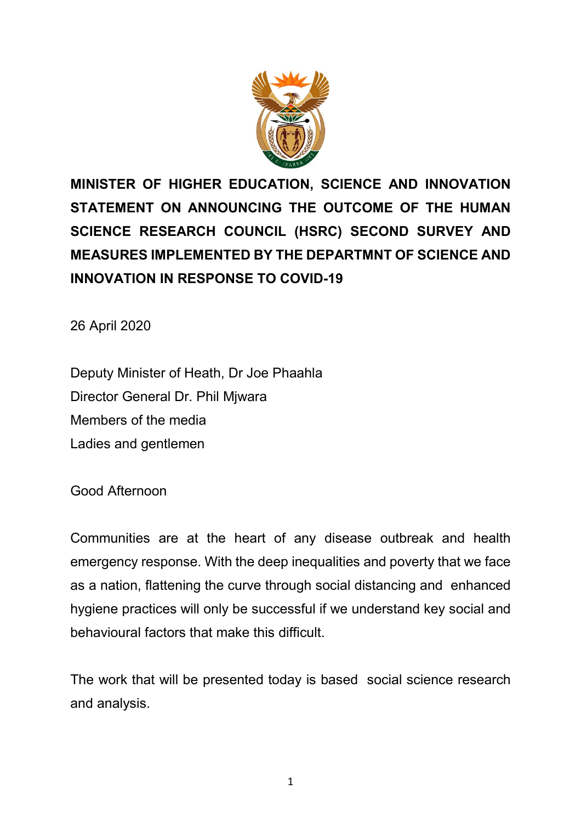

**MINISTER OF HIGHER EDUCATION, SCIENCE AND INNOVATION STATEMENT ON ANNOUNCING THE OUTCOME OF THE HUMAN SCIENCE RESEARCH COUNCIL (HSRC) SECOND SURVEY AND MEASURES IMPLEMENTED BY THE DEPARTMNT OF SCIENCE AND INNOVATION IN RESPONSE TO COVID-19**

26 April 2020

Deputy Minister of Heath, Dr Joe Phaahla Director General Dr. Phil Mjwara Members of the media Ladies and gentlemen

Good Afternoon

Communities are at the heart of any disease outbreak and health emergency response. With the deep inequalities and poverty that we face as a nation, flattening the curve through social distancing and enhanced hygiene practices will only be successful if we understand key social and behavioural factors that make this difficult.

The work that will be presented today is based social science research and analysis.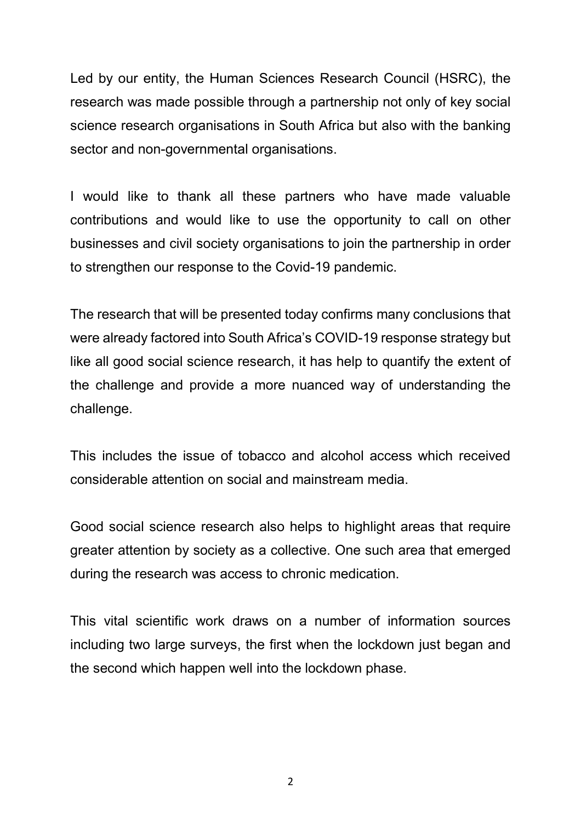Led by our entity, the Human Sciences Research Council (HSRC), the research was made possible through a partnership not only of key social science research organisations in South Africa but also with the banking sector and non-governmental organisations.

I would like to thank all these partners who have made valuable contributions and would like to use the opportunity to call on other businesses and civil society organisations to join the partnership in order to strengthen our response to the Covid-19 pandemic.

The research that will be presented today confirms many conclusions that were already factored into South Africa's COVID-19 response strategy but like all good social science research, it has help to quantify the extent of the challenge and provide a more nuanced way of understanding the challenge.

This includes the issue of tobacco and alcohol access which received considerable attention on social and mainstream media.

Good social science research also helps to highlight areas that require greater attention by society as a collective. One such area that emerged during the research was access to chronic medication.

This vital scientific work draws on a number of information sources including two large surveys, the first when the lockdown just began and the second which happen well into the lockdown phase.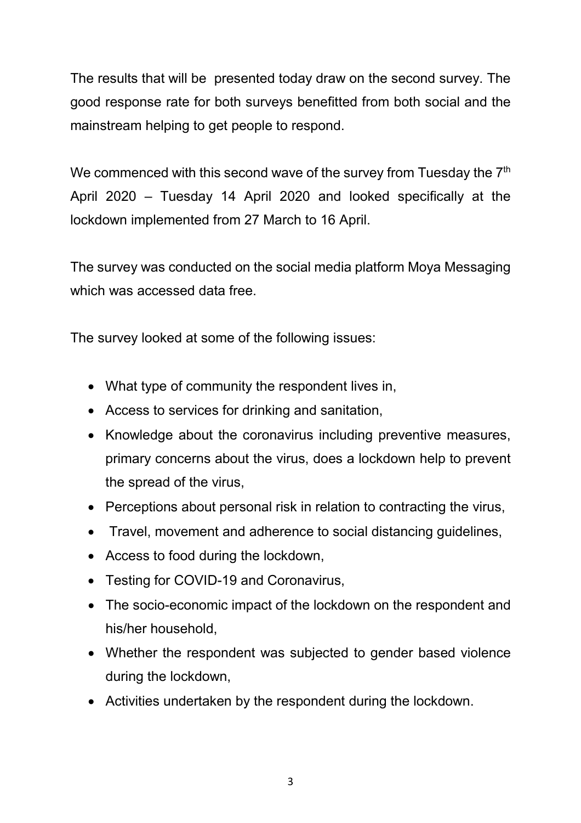The results that will be presented today draw on the second survey. The good response rate for both surveys benefitted from both social and the mainstream helping to get people to respond.

We commenced with this second wave of the survey from Tuesday the 7<sup>th</sup> April 2020 – Tuesday 14 April 2020 and looked specifically at the lockdown implemented from 27 March to 16 April.

The survey was conducted on the social media platform Moya Messaging which was accessed data free.

The survey looked at some of the following issues:

- What type of community the respondent lives in,
- Access to services for drinking and sanitation,
- Knowledge about the coronavirus including preventive measures, primary concerns about the virus, does a lockdown help to prevent the spread of the virus,
- Perceptions about personal risk in relation to contracting the virus,
- Travel, movement and adherence to social distancing guidelines,
- Access to food during the lockdown,
- Testing for COVID-19 and Coronavirus,
- The socio-economic impact of the lockdown on the respondent and his/her household,
- Whether the respondent was subjected to gender based violence during the lockdown,
- Activities undertaken by the respondent during the lockdown.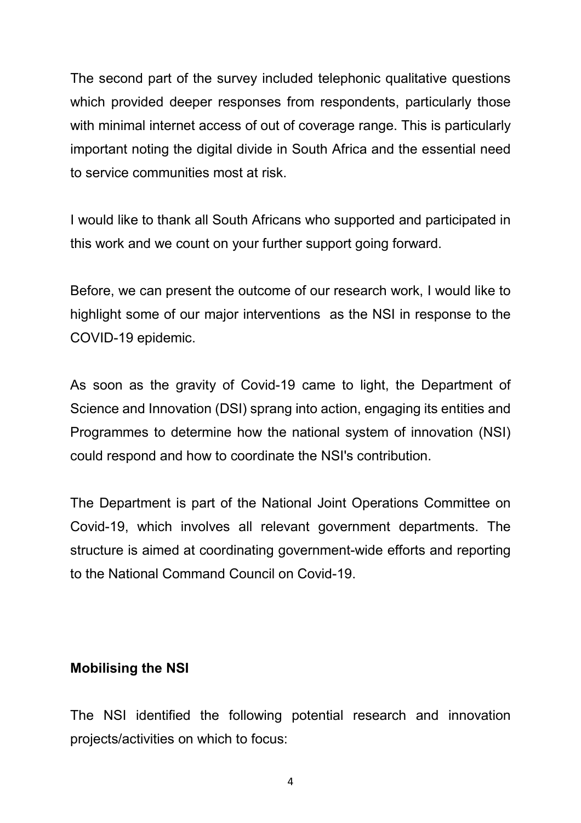The second part of the survey included telephonic qualitative questions which provided deeper responses from respondents, particularly those with minimal internet access of out of coverage range. This is particularly important noting the digital divide in South Africa and the essential need to service communities most at risk.

I would like to thank all South Africans who supported and participated in this work and we count on your further support going forward.

Before, we can present the outcome of our research work, I would like to highlight some of our major interventions as the NSI in response to the COVID-19 epidemic.

As soon as the gravity of Covid-19 came to light, the Department of Science and Innovation (DSI) sprang into action, engaging its entities and Programmes to determine how the national system of innovation (NSI) could respond and how to coordinate the NSI's contribution.

The Department is part of the National Joint Operations Committee on Covid-19, which involves all relevant government departments. The structure is aimed at coordinating government-wide efforts and reporting to the National Command Council on Covid-19.

### **Mobilising the NSI**

The NSI identified the following potential research and innovation projects/activities on which to focus: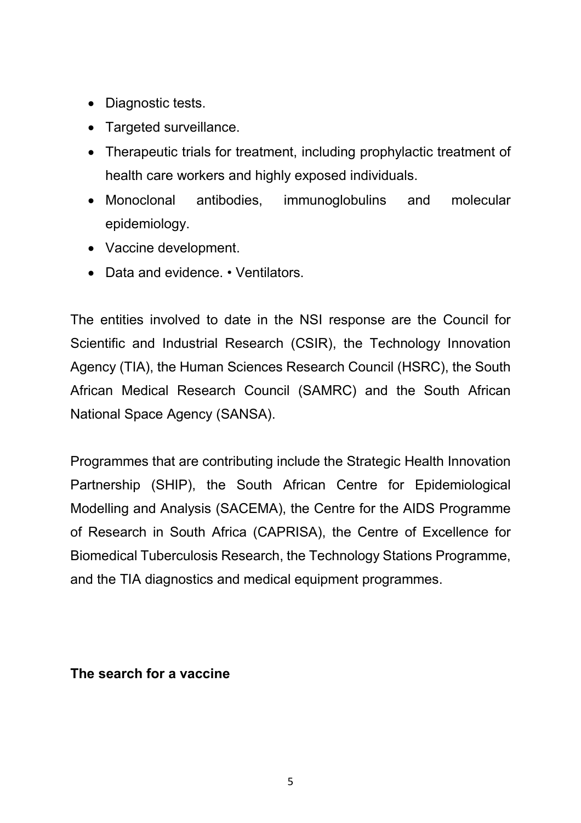- Diagnostic tests.
- Targeted surveillance.
- Therapeutic trials for treatment, including prophylactic treatment of health care workers and highly exposed individuals.
- Monoclonal antibodies, immunoglobulins and molecular epidemiology.
- Vaccine development.
- Data and evidence. Ventilators.

The entities involved to date in the NSI response are the Council for Scientific and Industrial Research (CSIR), the Technology Innovation Agency (TIA), the Human Sciences Research Council (HSRC), the South African Medical Research Council (SAMRC) and the South African National Space Agency (SANSA).

Programmes that are contributing include the Strategic Health Innovation Partnership (SHIP), the South African Centre for Epidemiological Modelling and Analysis (SACEMA), the Centre for the AIDS Programme of Research in South Africa (CAPRISA), the Centre of Excellence for Biomedical Tuberculosis Research, the Technology Stations Programme, and the TIA diagnostics and medical equipment programmes.

### **The search for a vaccine**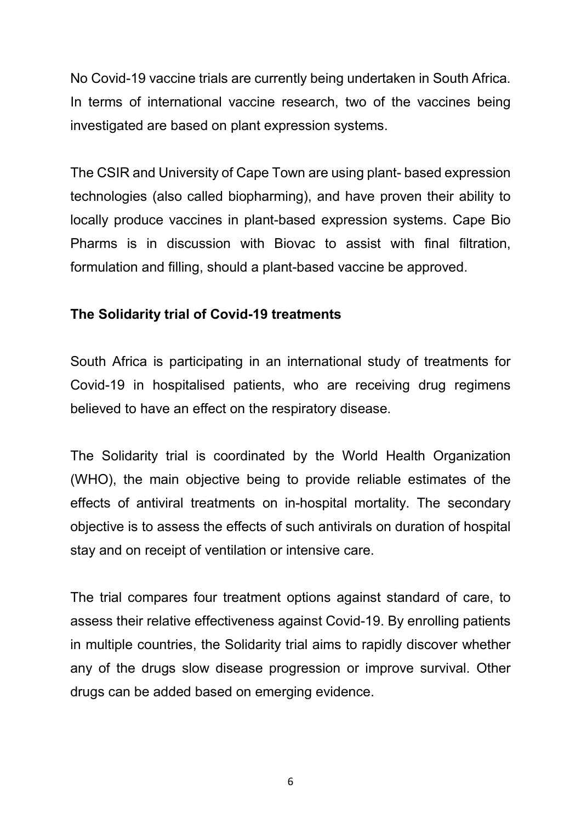No Covid-19 vaccine trials are currently being undertaken in South Africa. In terms of international vaccine research, two of the vaccines being investigated are based on plant expression systems.

The CSIR and University of Cape Town are using plant- based expression technologies (also called biopharming), and have proven their ability to locally produce vaccines in plant-based expression systems. Cape Bio Pharms is in discussion with Biovac to assist with final filtration, formulation and filling, should a plant-based vaccine be approved.

### **The Solidarity trial of Covid-19 treatments**

South Africa is participating in an international study of treatments for Covid-19 in hospitalised patients, who are receiving drug regimens believed to have an effect on the respiratory disease.

The Solidarity trial is coordinated by the World Health Organization (WHO), the main objective being to provide reliable estimates of the effects of antiviral treatments on in-hospital mortality. The secondary objective is to assess the effects of such antivirals on duration of hospital stay and on receipt of ventilation or intensive care.

The trial compares four treatment options against standard of care, to assess their relative effectiveness against Covid-19. By enrolling patients in multiple countries, the Solidarity trial aims to rapidly discover whether any of the drugs slow disease progression or improve survival. Other drugs can be added based on emerging evidence.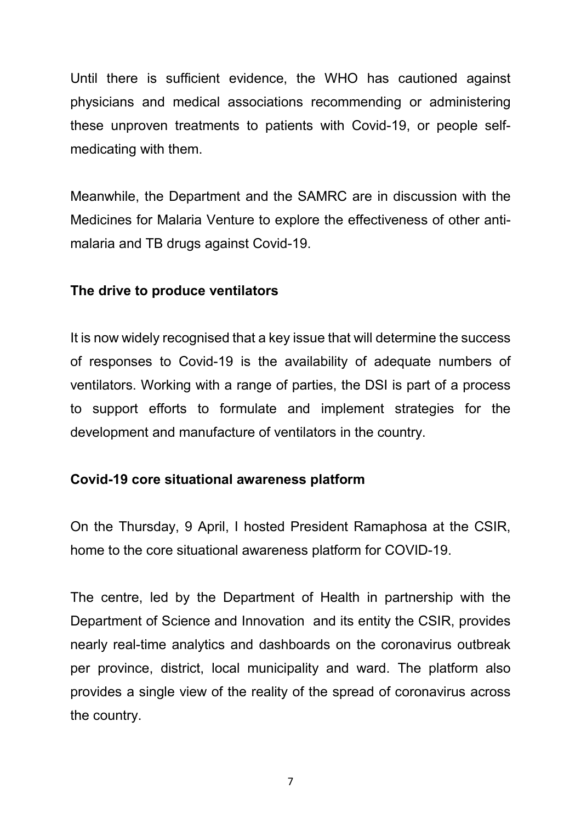Until there is sufficient evidence, the WHO has cautioned against physicians and medical associations recommending or administering these unproven treatments to patients with Covid-19, or people selfmedicating with them.

Meanwhile, the Department and the SAMRC are in discussion with the Medicines for Malaria Venture to explore the effectiveness of other antimalaria and TB drugs against Covid-19.

#### **The drive to produce ventilators**

It is now widely recognised that a key issue that will determine the success of responses to Covid-19 is the availability of adequate numbers of ventilators. Working with a range of parties, the DSI is part of a process to support efforts to formulate and implement strategies for the development and manufacture of ventilators in the country.

### **Covid-19 core situational awareness platform**

On the Thursday, 9 April, I hosted President Ramaphosa at the CSIR, home to the core situational awareness platform for COVID-19.

The centre, led by the Department of Health in partnership with the Department of Science and Innovation and its entity the CSIR, provides nearly real-time analytics and dashboards on the coronavirus outbreak per province, district, local municipality and ward. The platform also provides a single view of the reality of the spread of coronavirus across the country.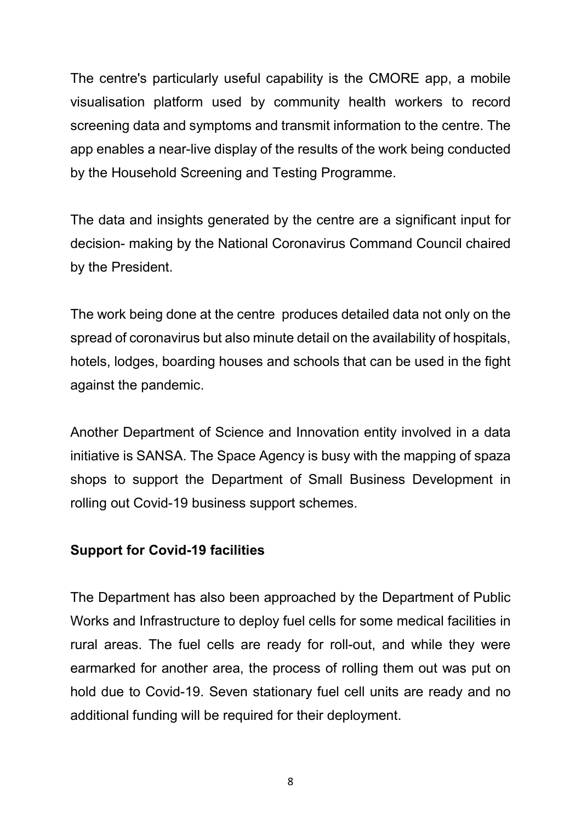The centre's particularly useful capability is the CMORE app, a mobile visualisation platform used by community health workers to record screening data and symptoms and transmit information to the centre. The app enables a near-live display of the results of the work being conducted by the Household Screening and Testing Programme.

The data and insights generated by the centre are a significant input for decision- making by the National Coronavirus Command Council chaired by the President.

The work being done at the centre produces detailed data not only on the spread of coronavirus but also minute detail on the availability of hospitals, hotels, lodges, boarding houses and schools that can be used in the fight against the pandemic.

Another Department of Science and Innovation entity involved in a data initiative is SANSA. The Space Agency is busy with the mapping of spaza shops to support the Department of Small Business Development in rolling out Covid-19 business support schemes.

### **Support for Covid-19 facilities**

The Department has also been approached by the Department of Public Works and Infrastructure to deploy fuel cells for some medical facilities in rural areas. The fuel cells are ready for roll-out, and while they were earmarked for another area, the process of rolling them out was put on hold due to Covid-19. Seven stationary fuel cell units are ready and no additional funding will be required for their deployment.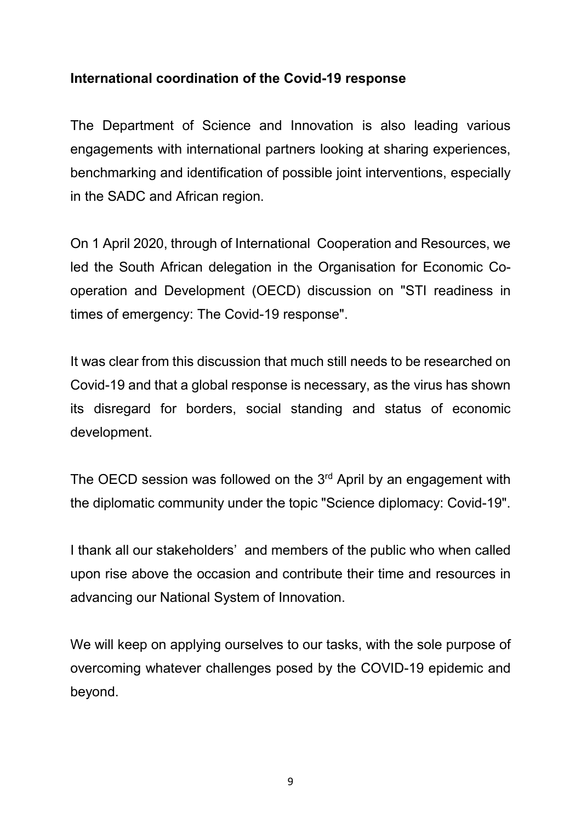## **International coordination of the Covid-19 response**

The Department of Science and Innovation is also leading various engagements with international partners looking at sharing experiences, benchmarking and identification of possible joint interventions, especially in the SADC and African region.

On 1 April 2020, through of International Cooperation and Resources, we led the South African delegation in the Organisation for Economic Cooperation and Development (OECD) discussion on "STI readiness in times of emergency: The Covid-19 response".

It was clear from this discussion that much still needs to be researched on Covid-19 and that a global response is necessary, as the virus has shown its disregard for borders, social standing and status of economic development.

The OECD session was followed on the  $3<sup>rd</sup>$  April by an engagement with the diplomatic community under the topic "Science diplomacy: Covid-19".

I thank all our stakeholders' and members of the public who when called upon rise above the occasion and contribute their time and resources in advancing our National System of Innovation.

We will keep on applying ourselves to our tasks, with the sole purpose of overcoming whatever challenges posed by the COVID-19 epidemic and beyond.